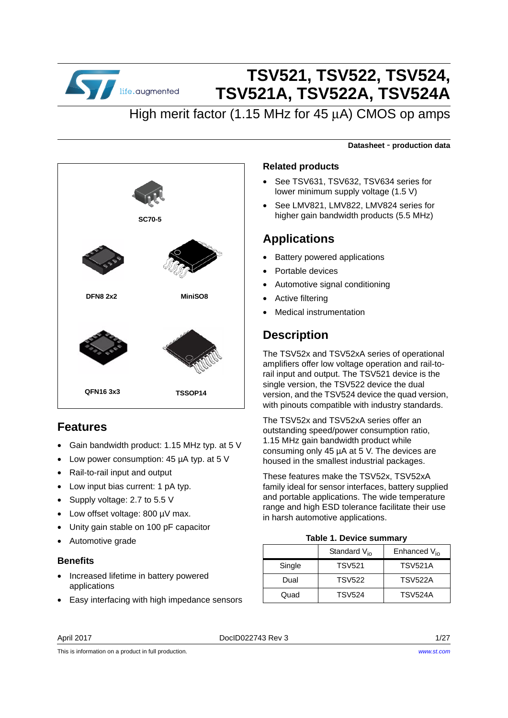

# **TSV521, TSV522, TSV524, TSV521A, TSV522A, TSV524A**

## High merit factor (1.15 MHz for 45 μA) CMOS op amps



### **Features**

- Gain bandwidth product: 1.15 MHz typ. at 5 V
- Low power consumption: 45 µA typ. at 5 V
- Rail-to-rail input and output
- Low input bias current: 1 pA typ.
- Supply voltage: 2.7 to 5.5 V
- Low offset voltage: 800 µV max.
- Unity gain stable on 100 pF capacitor
- Automotive grade

#### **Benefits**

- Increased lifetime in battery powered applications
- Easy interfacing with high impedance sensors

#### **Datasheet** - **production data**

#### **Related products**

- See TSV631, TSV632, TSV634 series for lower minimum supply voltage (1.5 V)
- See LMV821, LMV822, LMV824 series for higher gain bandwidth products (5.5 MHz)

### **Applications**

- Battery powered applications
- Portable devices
- Automotive signal conditioning
- Active filtering
- Medical instrumentation

## **Description**

The TSV52x and TSV52xA series of operational amplifiers offer low voltage operation and rail-torail input and output. The TSV521 device is the single version, the TSV522 device the dual version, and the TSV524 device the quad version, with pinouts compatible with industry standards.

The TSV52x and TSV52xA series offer an outstanding speed/power consumption ratio, 1.15 MHz gain bandwidth product while consuming only 45 µA at 5 V. The devices are housed in the smallest industrial packages.

These features make the TSV52x, TSV52xA family ideal for sensor interfaces, battery supplied and portable applications. The wide temperature range and high ESD tolerance facilitate their use in harsh automotive applications.

#### **Table 1. Device summary**

|        | Standard $V_{i0}$ | Enhanced $V_{\text{in}}$ |
|--------|-------------------|--------------------------|
| Single | <b>TSV521</b>     | <b>TSV521A</b>           |
| Dual   | <b>TSV522</b>     | <b>TSV522A</b>           |
| Quad   | <b>TSV524</b>     | <b>TSV524A</b>           |

This is information on a product in full production.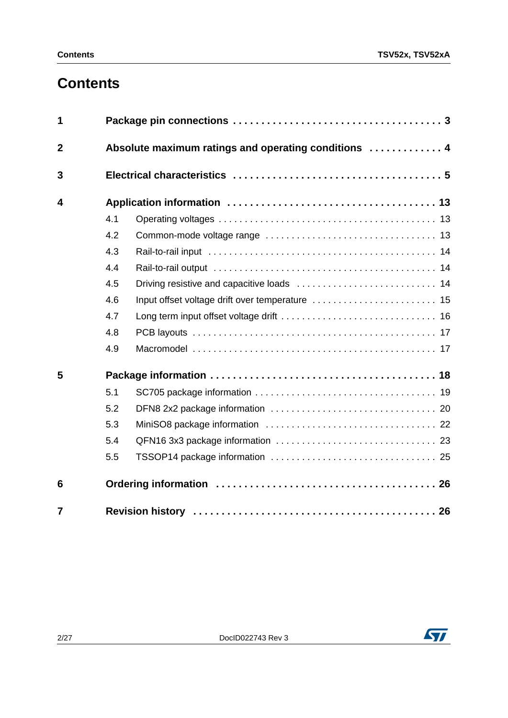# **Contents**

| 1              |     |                                                      |  |  |  |  |  |  |
|----------------|-----|------------------------------------------------------|--|--|--|--|--|--|
| $\overline{2}$ |     | Absolute maximum ratings and operating conditions  4 |  |  |  |  |  |  |
| 3              |     |                                                      |  |  |  |  |  |  |
| 4              |     |                                                      |  |  |  |  |  |  |
|                | 4.1 |                                                      |  |  |  |  |  |  |
|                | 4.2 |                                                      |  |  |  |  |  |  |
|                | 4.3 |                                                      |  |  |  |  |  |  |
|                | 4.4 |                                                      |  |  |  |  |  |  |
|                | 4.5 |                                                      |  |  |  |  |  |  |
|                | 4.6 |                                                      |  |  |  |  |  |  |
|                | 4.7 |                                                      |  |  |  |  |  |  |
|                | 4.8 |                                                      |  |  |  |  |  |  |
|                | 4.9 |                                                      |  |  |  |  |  |  |
| 5              |     |                                                      |  |  |  |  |  |  |
|                | 5.1 |                                                      |  |  |  |  |  |  |
|                | 5.2 |                                                      |  |  |  |  |  |  |
|                | 5.3 |                                                      |  |  |  |  |  |  |
|                | 5.4 |                                                      |  |  |  |  |  |  |
|                | 5.5 |                                                      |  |  |  |  |  |  |
| 6              |     |                                                      |  |  |  |  |  |  |
| $\overline{7}$ |     |                                                      |  |  |  |  |  |  |

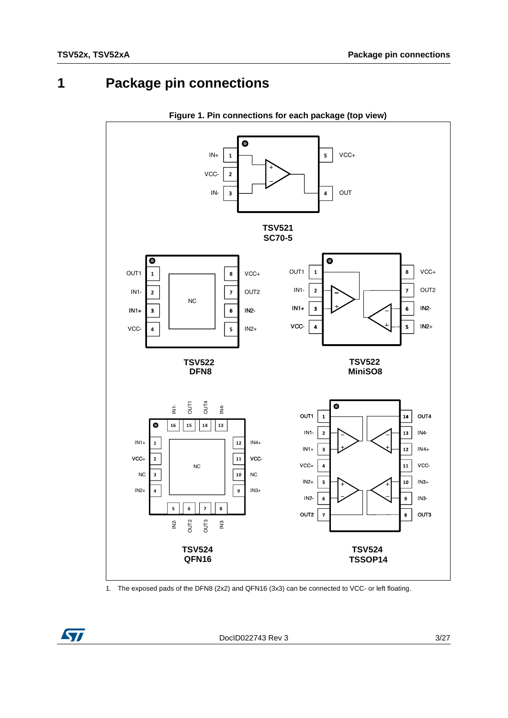# **1 Package pin connections**



**Figure 1. Pin connections for each package (top view)**

<span id="page-2-0"></span>



DocID022743 Rev 3 3/27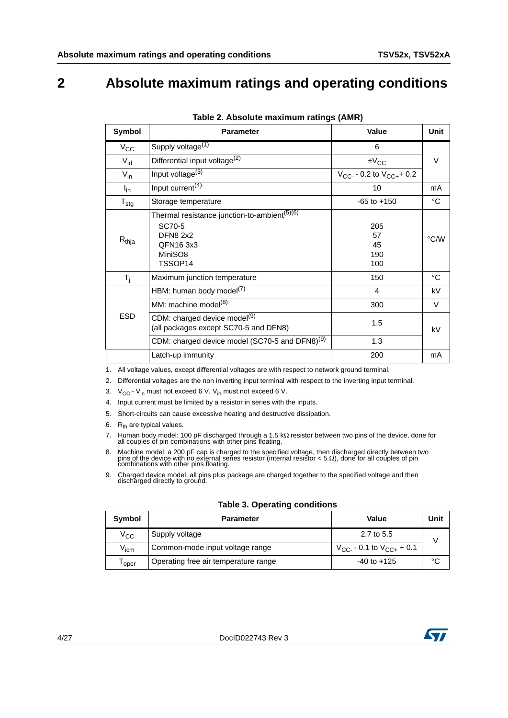## <span id="page-3-0"></span>**2 Absolute maximum ratings and operating conditions**

| Symbol           | <b>Parameter</b>                                                                                                        | <b>Value</b>                                     | <b>Unit</b> |
|------------------|-------------------------------------------------------------------------------------------------------------------------|--------------------------------------------------|-------------|
| $V_{\rm CC}$     | Supply voltage <sup>(1)</sup>                                                                                           | 6                                                |             |
| $V_{id}$         | Differential input voltage <sup>(2)</sup>                                                                               | $\pm V_{CC}$                                     | V           |
| $V_{in}$         | Input voltage $(3)$                                                                                                     | $V_{\text{CC-}}$ - 0.2 to $V_{\text{CC+}}$ + 0.2 |             |
| $I_{in}$         | Input current <sup>(4)</sup>                                                                                            | 10                                               | mA          |
| $T_{\text{stg}}$ | Storage temperature                                                                                                     | $-65$ to $+150$                                  | °C          |
| $R_{thja}$       | Thermal resistance junction-to-ambient <sup>(5)(6)</sup><br>SC70-5<br><b>DFN8 2x2</b><br>QFN163x3<br>MiniSO8<br>TSSOP14 | 205<br>57<br>45<br>190<br>100                    | °C/W        |
| $T_i$            | Maximum junction temperature                                                                                            | 150                                              | °C          |
|                  | HBM: human body model <sup>(7)</sup>                                                                                    | 4                                                | kV          |
|                  | MM: machine model <sup>(8)</sup>                                                                                        | 300                                              | V           |
| <b>ESD</b>       | CDM: charged device model <sup>(9)</sup><br>(all packages except SC70-5 and DFN8)                                       | 1.5                                              | kV          |
|                  | CDM: charged device model (SC70-5 and DFN8) <sup>(9)</sup>                                                              | 1.3                                              |             |
|                  | Latch-up immunity                                                                                                       | 200                                              | mA          |

| Table 2. Absolute maximum ratings (AMR) |  |  |  |  |  |
|-----------------------------------------|--|--|--|--|--|
|-----------------------------------------|--|--|--|--|--|

1. All voltage values, except differential voltages are with respect to network ground terminal.

- 2. Differential voltages are the non inverting input terminal with respect to the inverting input terminal.
- 3.  $V_{CC} V_{in}$  must not exceed 6 V,  $V_{in}$  must not exceed 6 V.
- 4. Input current must be limited by a resistor in series with the inputs.
- 5. Short-circuits can cause excessive heating and destructive dissipation.
- 6.  $R_{th}$  are typical values.
- 7. Human body model: 100 pF discharged through a 1.5 kΩ resistor between two pins of the device, done for all couples of pin combinations with other pins floating.
- 8. Machine model: a 200 pF cap is charged to the specified voltage, then discharged directly between two pins of the device with no external series resistor (internal resistor  $< 5 \Omega$ ), done for all couples of pin combin
- <span id="page-3-1"></span>9. Charged device model: all pins plus package are charged together to the specified voltage and then discharged directly to ground.

|  |  |  | <b>Table 3. Operating conditions</b> |
|--|--|--|--------------------------------------|
|--|--|--|--------------------------------------|

| Symbol           | <b>Parameter</b>                     | Value                             | Unit |
|------------------|--------------------------------------|-----------------------------------|------|
| V <sub>CC</sub>  | Supply voltage                       | 2.7 to 5.5                        |      |
| $V_{\text{icm}}$ | Common-mode input voltage range      | $V_{CC}$ - 0.1 to $V_{CC+}$ + 0.1 |      |
| oper             | Operating free air temperature range | $-40$ to $+125$                   | °C   |

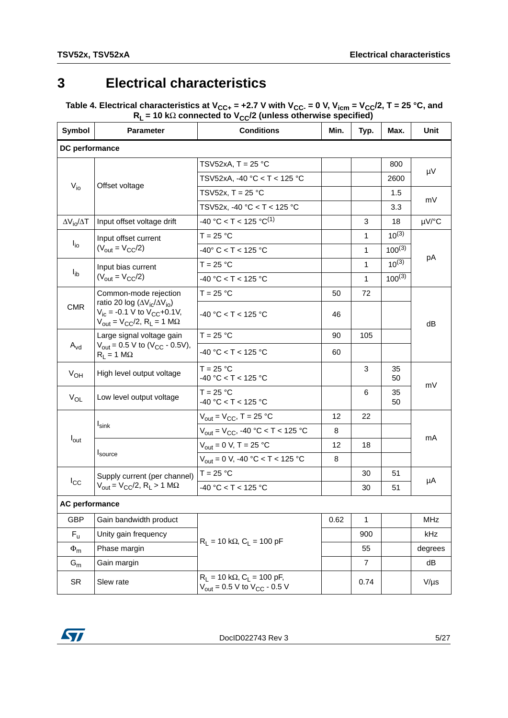## <span id="page-4-0"></span>**3 Electrical characteristics**

Table 4. Electrical characteristics at V<sub>CC+</sub> = +2.7 V with V<sub>CC-</sub> = 0 V, V<sub>icm</sub> = V<sub>CC</sub>/2, T = 25 °C, and **R<sub>L</sub> = 10 kΩ connected to V<sub>CC</sub>/2 (unless otherwise specified)** 

| Symbol                       | <b>Parameter</b>                                                                                                                                                     | <b>Conditions</b>                                                                                    | Min. | Typ.           | Max.        | Unit       |  |
|------------------------------|----------------------------------------------------------------------------------------------------------------------------------------------------------------------|------------------------------------------------------------------------------------------------------|------|----------------|-------------|------------|--|
| DC performance               |                                                                                                                                                                      |                                                                                                      |      |                |             |            |  |
|                              |                                                                                                                                                                      | TSV52xA, $T = 25$ °C                                                                                 |      |                | 800         | μV         |  |
|                              | Offset voltage                                                                                                                                                       | TSV52xA, -40 °C < T < 125 °C                                                                         |      |                | 2600        |            |  |
| $V_{i0}$                     |                                                                                                                                                                      | TSV52x, T = $25 °C$                                                                                  |      |                | 1.5         |            |  |
|                              |                                                                                                                                                                      | TSV52x, -40 °C < T < 125 °C                                                                          |      |                | 3.3         | mV         |  |
| $\Delta V_{\rm io}/\Delta T$ | Input offset voltage drift                                                                                                                                           | $-40 °C < T < 125 °C^{(1)}$                                                                          |      | 3              | 18          | µV/°C      |  |
|                              | Input offset current                                                                                                                                                 | $T = 25 °C$                                                                                          |      | 1              | $10^{(3)}$  |            |  |
| $I_{io}$                     | $(V_{\text{out}} = V_{\text{CC}}/2)$                                                                                                                                 | $-40^{\circ}$ C < T < 125 °C                                                                         |      | 1              | $100^{(3)}$ | рA         |  |
|                              | Input bias current                                                                                                                                                   | $T = 25 °C$                                                                                          |      | 1              | $10^{(3)}$  |            |  |
| $I_{\text{ib}}$              | $(V_{\text{out}} = V_{\text{CC}}/2)$                                                                                                                                 | $-40 °C < T < 125 °C$                                                                                |      | 1              | $100^{(3)}$ |            |  |
|                              | Common-mode rejection                                                                                                                                                | $T = 25 °C$                                                                                          | 50   | 72             |             |            |  |
| <b>CMR</b>                   | ratio 20 log ( $\Delta V_{\rm ic}/\Delta V_{\rm io}$ )<br>$V_{ic}$ = -0.1 V to $V_{CC}$ +0.1V,<br>$V_{\text{out}} = V_{\text{CC}}/2$ , R <sub>L</sub> = 1 M $\Omega$ | -40 °C < T < 125 °C                                                                                  | 46   |                |             | dB         |  |
| $A_{\text{vd}}$              | Large signal voltage gain<br>$V_{\text{out}} = 0.5 \text{ V}$ to (V <sub>CC</sub> - 0.5V),<br>$R_L = 1 M\Omega$                                                      | $T = 25 °C$                                                                                          | 90   | 105            |             |            |  |
|                              |                                                                                                                                                                      | $-40 °C < T < 125 °C$                                                                                | 60   |                |             |            |  |
| $V_{OH}$                     | High level output voltage                                                                                                                                            | $T = 25 °C$<br>$-40 °C < T < 125 °C$                                                                 |      | 3              | 35<br>50    |            |  |
| $V_{OL}$                     | Low level output voltage                                                                                                                                             | $T = 25 °C$<br>$-40 °C < T < 125 °C$                                                                 |      | 6              | 35<br>50    | mV         |  |
|                              |                                                                                                                                                                      | $V_{\text{out}} = V_{\text{CC}}$ , T = 25 °C                                                         | 12   | 22             |             |            |  |
|                              | $I_{\text{sink}}$                                                                                                                                                    | $V_{\text{out}} = V_{\text{CC}}$ , -40 °C < T < 125 °C                                               | 8    |                |             |            |  |
| $I_{\text{out}}$             | I <sub>source</sub>                                                                                                                                                  | $V_{\text{out}} = 0 \text{ V}, T = 25 \text{ }^{\circ}\text{C}$                                      | 12   | 18             |             | mA         |  |
|                              |                                                                                                                                                                      | $V_{\text{out}} = 0 \text{ V}$ , -40 °C < T < 125 °C                                                 | 8    |                |             |            |  |
| $I_{\rm CC}$                 | Supply current (per channel)                                                                                                                                         | $T = 25 °C$                                                                                          |      | 30             | 51          | μA         |  |
|                              | $V_{\text{out}} = V_{\text{CC}}/2$ , R <sub>L</sub> > 1 M $\Omega$                                                                                                   | $-40 °C < T < 125 °C$                                                                                |      | 30             | 51          |            |  |
| <b>AC performance</b>        |                                                                                                                                                                      |                                                                                                      |      |                |             |            |  |
| <b>GBP</b>                   | Gain bandwidth product                                                                                                                                               |                                                                                                      | 0.62 | 1              |             | <b>MHz</b> |  |
| $F_{\rm u}$                  | Unity gain frequency                                                                                                                                                 |                                                                                                      |      | 900            |             | kHz        |  |
| $\Phi_{m}$                   | Phase margin                                                                                                                                                         | $R_L = 10 k\Omega$ , $C_L = 100 pF$                                                                  |      | 55             |             | degrees    |  |
| $\mathsf{G}_{\mathsf{m}}$    | Gain margin                                                                                                                                                          |                                                                                                      |      | $\overline{7}$ |             | dB         |  |
| SR                           | Slew rate                                                                                                                                                            | $R_1 = 10 k\Omega$ , $C_1 = 100 pF$ ,<br>$V_{\text{out}} = 0.5 \text{ V}$ to $V_{\text{CC}}$ - 0.5 V |      | 0.74           |             | $V/\mu s$  |  |

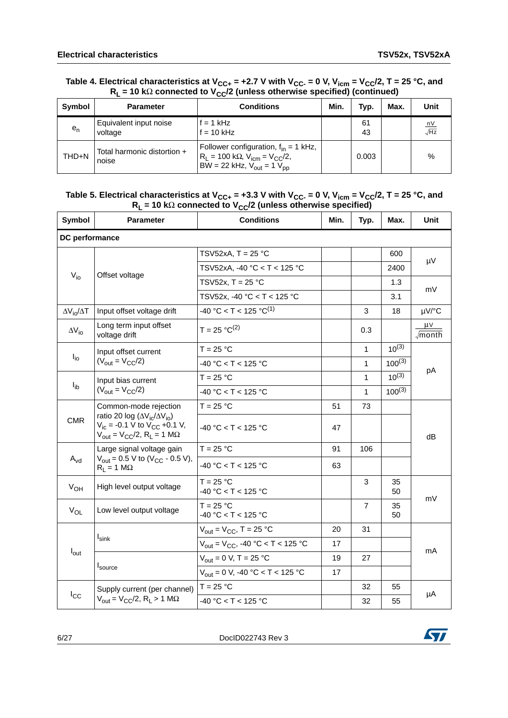|         | $R_1$ = 10 K $\Omega$ connected to V <sub>CC</sub> /2 (unless otherwise specified) (continued) |                                                                                                                                                        |      |          |      |                        |  |  |
|---------|------------------------------------------------------------------------------------------------|--------------------------------------------------------------------------------------------------------------------------------------------------------|------|----------|------|------------------------|--|--|
| Symbol  | <b>Parameter</b>                                                                               | <b>Conditions</b>                                                                                                                                      | Min. | Typ.     | Max. | Unit                   |  |  |
| $e_{n}$ | Equivalent input noise<br>voltage                                                              | $f = 1$ kHz<br>$f = 10$ kHz                                                                                                                            |      | 61<br>43 |      | $\frac{nV}{\sqrt{Hz}}$ |  |  |
| THD+N   | Total harmonic distortion +<br>noise                                                           | Follower configuration, $f_{in} = 1$ kHz,<br>$R_L$ = 100 kΩ, V <sub>icm</sub> = V <sub>CC</sub> /2,<br>BW = 22 kHz, $V_{\text{out}} = 1 V_{\text{pp}}$ |      | 0.003    |      | $\%$                   |  |  |

#### Table 4. Electrical characteristics at V<sub>CC+</sub> = +2.7 V with V<sub>CC-</sub> = 0 V, V<sub>icm</sub> = V<sub>CC</sub>/2, T = 25 °C, and **R<sub>L</sub> = 10 kΩ connected to V<sub>CC</sub>/2 (unless otherwise specified) (continued)**

#### Table 5. Electrical characteristics at V<sub>CC+</sub> = +3.3 V with V<sub>CC-</sub> = 0 V, V<sub>icm</sub> = V<sub>CC</sub>/2, T = 25 °C, and **R<sub>L</sub> = 10 kΩ connected to V<sub>CC</sub>/2 (unless otherwise specified)**

| <b>Symbol</b>            | <b>Parameter</b>                                                                                                                                                            | <b>Conditions</b>                                               | Min. | Typ.         | Max.        | Unit                          |
|--------------------------|-----------------------------------------------------------------------------------------------------------------------------------------------------------------------------|-----------------------------------------------------------------|------|--------------|-------------|-------------------------------|
| DC performance           |                                                                                                                                                                             |                                                                 |      |              |             |                               |
|                          |                                                                                                                                                                             | TSV52xA, $T = 25$ °C                                            |      |              | 600         |                               |
|                          |                                                                                                                                                                             | TSV52xA, -40 °C < T < 125 °C                                    |      |              | 2400        | μV                            |
| $V_{i0}$                 | Offset voltage                                                                                                                                                              | TSV52x, T = $25 °C$                                             |      |              | 1.3         |                               |
|                          |                                                                                                                                                                             | TSV52x, -40 °C < T < 125 °C                                     |      |              | 3.1         | mV                            |
| $\Delta V_{i0}/\Delta T$ | Input offset voltage drift                                                                                                                                                  | $-40 °C < T < 125 °C^{(1)}$                                     |      | 3            | 18          | µV/°C                         |
| $\Delta V_{io}$          | Long term input offset<br>voltage drift                                                                                                                                     | $T = 25 °C^{(2)}$                                               |      | 0.3          |             | μV<br>$\sqrt{\mathsf{month}}$ |
|                          | Input offset current                                                                                                                                                        | $T = 25 °C$                                                     |      | $\mathbf{1}$ | $10^{(3)}$  |                               |
|                          | $I_{\text{io}}$<br>$(V_{\text{out}} = V_{\text{CC}}/2)$                                                                                                                     | $-40 °C < T < 125 °C$                                           |      | 1            | $100^{(3)}$ |                               |
|                          | Input bias current<br>$(V_{\text{out}} = V_{\text{CC}}/2)$                                                                                                                  | $T = 25 °C$                                                     |      | 1            | $10^{(3)}$  | рA                            |
| $I_{\text{ib}}$          |                                                                                                                                                                             | $-40 °C < T < 125 °C$                                           |      | 1            | $100^{(3)}$ |                               |
|                          | Common-mode rejection                                                                                                                                                       | $T = 25 °C$                                                     | 51   | 73           |             | dB                            |
| <b>CMR</b>               | ratio 20 log ( $\Delta V_{\text{ic}}/\Delta V_{\text{io}}$ )<br>$V_{ic}$ = -0.1 V to $V_{CC}$ +0.1 V,<br>$V_{\text{out}} = V_{\text{CC}}/2$ , R <sub>L</sub> = 1 M $\Omega$ | $-40 °C < T < 125 °C$                                           | 47   |              |             |                               |
|                          | Large signal voltage gain                                                                                                                                                   | $T = 25 °C$                                                     | 91   | 106          |             |                               |
| $A_{vd}$                 | $V_{\text{out}}$ = 0.5 V to (V <sub>CC</sub> - 0.5 V),<br>$R_L = 1 M\Omega$                                                                                                 | $-40 °C < T < 125 °C$                                           | 63   |              |             |                               |
| $V_{OH}$                 | High level output voltage                                                                                                                                                   | $T = 25 °C$<br>$-40 °C < T < 125 °C$                            |      | 3            | 35<br>50    |                               |
| $V_{OL}$                 | Low level output voltage                                                                                                                                                    | $T = 25 °C$<br>$-40 °C < T < 125 °C$                            |      | 7            | 35<br>50    | mV                            |
|                          |                                                                                                                                                                             | $V_{\text{out}} = V_{\text{CC}}$ , T = 25 °C                    | 20   | 31           |             |                               |
|                          | $I_{\text{sink}}$                                                                                                                                                           | $V_{\text{out}} = V_{\text{CC}}$ , -40 °C < T < 125 °C          | 17   |              |             |                               |
| $I_{\text{out}}$         |                                                                                                                                                                             | $V_{\text{out}} = 0 \text{ V}, T = 25 \text{ }^{\circ}\text{C}$ | 19   | 27           |             | mA                            |
|                          | <b>I</b> source                                                                                                                                                             | $V_{\text{out}} = 0 \text{ V}$ , -40 °C < T < 125 °C            | 17   |              |             |                               |
|                          | Supply current (per channel)                                                                                                                                                | $T = 25 °C$                                                     |      | 32           | 55          | μA                            |
| $I_{\rm CC}$             | $V_{\text{out}} = V_{\text{CC}}/2$ , R <sub>L</sub> > 1 M $\Omega$                                                                                                          | $-40 °C < T < 125 °C$                                           |      | 32           | 55          |                               |

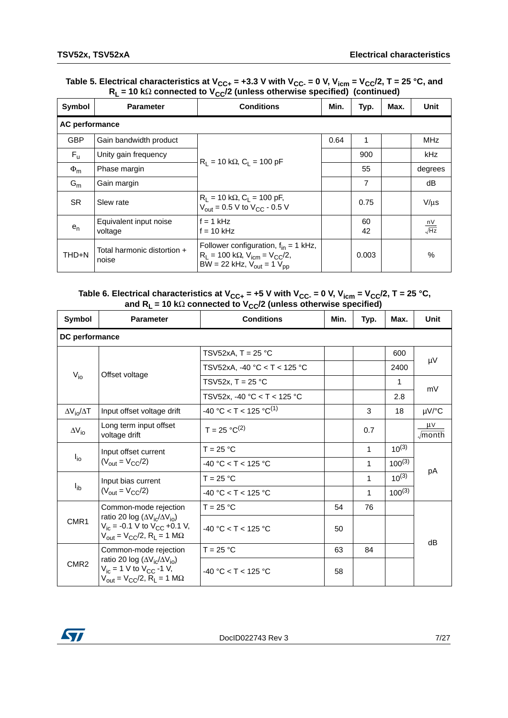| Table 5. Electrical characteristics at $V_{\text{CC-}}$ = +3.3 V with $V_{\text{CC-}}$ = 0 V, $V_{\text{icm}}$ = $V_{\text{CC}}/2$ , T = 25 °C, and |
|-----------------------------------------------------------------------------------------------------------------------------------------------------|
| $R_1$ = 10 k $\Omega$ connected to V <sub>CC</sub> /2 (unless otherwise specified) (continued)                                                      |

| Symbol                | <b>Parameter</b>                     | vv.<br><b>Conditions</b>                                                                                                                             | Min. | Typ.     | Max. | <b>Unit</b>                                        |
|-----------------------|--------------------------------------|------------------------------------------------------------------------------------------------------------------------------------------------------|------|----------|------|----------------------------------------------------|
| <b>AC performance</b> |                                      |                                                                                                                                                      |      |          |      |                                                    |
| <b>GBP</b>            | Gain bandwidth product               |                                                                                                                                                      | 0.64 | 1        |      | MHz                                                |
| $F_{\rm u}$           | Unity gain frequency                 | $R_1 = 10 k\Omega$ , $C_1 = 100 pF$                                                                                                                  |      | 900      |      | kHz                                                |
| $\Phi_{\rm m}$        | Phase margin                         |                                                                                                                                                      |      | 55       |      | degrees                                            |
| $G_m$                 | Gain margin                          |                                                                                                                                                      |      | 7        |      | dB                                                 |
| <b>SR</b>             | Slew rate                            | $R_L = 10 k\Omega$ , $C_L = 100 pF$ ,<br>$V_{out} = 0.5 V$ to $V_{CC} - 0.5 V$                                                                       |      | 0.75     |      | $V/\mu s$                                          |
| $e_n$                 | Equivalent input noise<br>voltage    | $f = 1$ kHz<br>$f = 10$ kHz                                                                                                                          |      | 60<br>42 |      | $\frac{\mathsf{n} \mathsf{V}}{\sqrt{\mathsf{Hz}}}$ |
| THD+N                 | Total harmonic distortion +<br>noise | Follower configuration, $f_{in} = 1$ kHz,<br>$R_1 = 100 \text{ k}\Omega$ , $V_{icm} = V_{CC}/2$ ,<br>BW = 22 kHz, $V_{\text{out}} = 1 V_{\text{pp}}$ |      | 0.003    |      | $\%$                                               |

#### Table 6. Electrical characteristics at V<sub>CC+</sub> = +5 V with V<sub>CC-</sub> = 0 V, V<sub>icm</sub> = V<sub>CC</sub>/2, T = 25 °C, **and RL = 10 k**Ω **connected to VCC/2 (unless otherwise specified)**

| Symbol                   | <b>Parameter</b>                                                                                                                                                                                     | <b>Conditions</b>            | Min. | Typ. | Max.        | <b>Unit</b>                   |  |
|--------------------------|------------------------------------------------------------------------------------------------------------------------------------------------------------------------------------------------------|------------------------------|------|------|-------------|-------------------------------|--|
| DC performance           |                                                                                                                                                                                                      |                              |      |      |             |                               |  |
|                          |                                                                                                                                                                                                      | TSV52xA, T = 25 °C           |      |      | 600         |                               |  |
|                          |                                                                                                                                                                                                      | TSV52xA, -40 °C < T < 125 °C |      |      | 2400        | μV                            |  |
| $V_{i0}$                 | Offset voltage                                                                                                                                                                                       | TSV52x, T = $25 °C$          |      |      | 1           | mV                            |  |
|                          |                                                                                                                                                                                                      | TSV52x, -40 °C < T < 125 °C  |      |      | 2.8         |                               |  |
| $\Delta V_{io}/\Delta T$ | Input offset voltage drift                                                                                                                                                                           | $-40 °C < T < 125 °C^{(1)}$  |      | 3    | 18          | µV/°C                         |  |
| $\Delta V_{i0}$          | Long term input offset<br>voltage drift                                                                                                                                                              | $T = 25 °C^{(2)}$            |      | 0.7  |             | μV<br>$\sqrt{\mathsf{month}}$ |  |
| $I_{\text{io}}$          | Input offset current<br>$(V_{\text{out}} = V_{\text{CC}}/2)$                                                                                                                                         | $T = 25 °C$                  |      | 1    | $10^{(3)}$  |                               |  |
|                          |                                                                                                                                                                                                      | $-40 °C < T < 125 °C$        |      | 1    | $100^{(3)}$ |                               |  |
|                          | Input bias current                                                                                                                                                                                   | $T = 25 °C$                  |      | 1    | $10^{(3)}$  | рA                            |  |
| $I_{ib}$                 | $(V_{\text{out}} = V_{\text{CC}}/2)$                                                                                                                                                                 | $-40 °C < T < 125 °C$        |      | 1    | $100^{(3)}$ |                               |  |
|                          | Common-mode rejection                                                                                                                                                                                | $T = 25 °C$                  | 54   | 76   |             |                               |  |
| CMR1                     | ratio 20 log ( $\Delta V_{\rm ic}/\Delta V_{\rm io}$ )<br>$V_{\text{ic}} = -0.1 \text{ V}$ to $V_{\text{CC}} +0.1 \text{ V}$ ,<br>$V_{\text{out}} = V_{\text{CC}}/2$ , R <sub>1</sub> = 1 M $\Omega$ | $-40$ °C < T < 125 °C        | 50   |      |             | dB                            |  |
|                          | Common-mode rejection                                                                                                                                                                                | $T = 25 °C$                  | 63   | 84   |             |                               |  |
| CMR <sub>2</sub>         | ratio 20 log ( $\Delta V_{\rm ic}/\Delta V_{\rm io}$ )<br>$V_{ic}$ = 1 V to $V_{CC}$ -1 V,<br>$V_{\text{out}} = V_{\text{CC}}/2$ , R <sub>L</sub> = 1 M $\Omega$                                     | $-40$ °C < T < 125 °C        | 58   |      |             |                               |  |

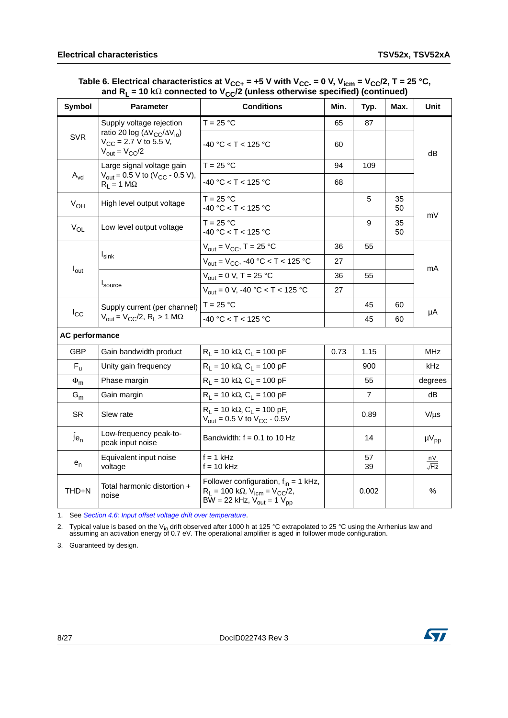Table 6. Electrical characteristics at V<sub>CC+</sub> = +5 V with V<sub>CC-</sub> = 0 V, V<sub>icm</sub> = V<sub>CC</sub>/2, T = 25 °C, **and R<sub>L</sub> = 10 kΩ connected to V<sub>CC</sub>/2 (unless otherwise specified) (continued)** 

| <b>Symbol</b>              | <b>Parameter</b>                                                                                                   | <b>Conditions</b>                                                                                                                                      | Min. | Typ.           | Max.     | Unit              |
|----------------------------|--------------------------------------------------------------------------------------------------------------------|--------------------------------------------------------------------------------------------------------------------------------------------------------|------|----------------|----------|-------------------|
|                            | Supply voltage rejection                                                                                           | $T = 25 °C$                                                                                                                                            | 65   | 87             |          |                   |
| <b>SVR</b>                 | ratio 20 log ( $\Delta V_{CC}/\Delta V_{io}$ )<br>$V_{CC}$ = 2.7 V to 5.5 V,<br>$V_{\text{out}} = V_{\text{CC}}/2$ | -40 °C < T < 125 °C                                                                                                                                    | 60   |                |          | dB                |
|                            | Large signal voltage gain                                                                                          | $T = 25 °C$                                                                                                                                            | 94   | 109            |          |                   |
| $\mathsf{A}_{\mathsf{vd}}$ | $V_{\text{out}} = 0.5 \text{ V}$ to (V <sub>CC</sub> - 0.5 V),<br>$R_1 = 1 M\Omega$                                | $-40 °C < T < 125 °C$                                                                                                                                  | 68   |                |          |                   |
| $V_{OH}$                   | High level output voltage                                                                                          | $T = 25 °C$<br>-40 °C < T < 125 °C                                                                                                                     |      | 5              | 35<br>50 | mV                |
| $V_{OL}$                   | Low level output voltage                                                                                           | $T = 25 °C$<br>$-40 °C < T < 125 °C$                                                                                                                   |      | 9              | 35<br>50 |                   |
|                            |                                                                                                                    | $V_{\text{out}} = V_{\text{CC}}$ , T = 25 °C                                                                                                           | 36   | 55             |          |                   |
|                            | <b>I</b> sink                                                                                                      | $V_{\text{out}} = V_{\text{CC}}$ , -40 °C < T < 125 °C                                                                                                 | 27   |                |          | mA                |
| $I_{\text{out}}$           | I <sub>source</sub>                                                                                                | $V_{\text{out}} = 0 \text{ V}, T = 25 \text{ }^{\circ}\text{C}$                                                                                        | 36   | 55             |          |                   |
|                            |                                                                                                                    | $V_{\text{out}} = 0 \text{ V}$ , -40 °C < T < 125 °C                                                                                                   | 27   |                |          |                   |
|                            | Supply current (per channel)                                                                                       | $T = 25 °C$                                                                                                                                            |      | 45             | 60       | μA                |
| $I_{\rm CC}$               | $V_{\text{out}} = V_{\text{CC}}/2$ , R <sub>L</sub> > 1 M $\Omega$                                                 | $-40$ °C $<$ T $<$ 125 °C                                                                                                                              |      | 45             | 60       |                   |
| <b>AC performance</b>      |                                                                                                                    |                                                                                                                                                        |      |                |          |                   |
| GBP                        | Gain bandwidth product                                                                                             | $R_L$ = 10 kΩ, $C_L$ = 100 pF                                                                                                                          | 0.73 | 1.15           |          | <b>MHz</b>        |
| $F_{\rm u}$                | Unity gain frequency                                                                                               | $R_L$ = 10 kΩ, $C_L$ = 100 pF                                                                                                                          |      | 900            |          | kHz               |
| $\Phi_{\sf m}$             | Phase margin                                                                                                       | $R_L$ = 10 kΩ, $C_L$ = 100 pF                                                                                                                          |      | 55             |          | degrees           |
| $G_m$                      | Gain margin                                                                                                        | $R_L$ = 10 kΩ, $C_L$ = 100 pF                                                                                                                          |      | $\overline{7}$ |          | dB                |
| <b>SR</b>                  | Slew rate                                                                                                          | $R_1 = 10 k\Omega$ , $C_1 = 100 pF$ ,<br>$V_{\text{out}} = 0.5 \text{ V}$ to $V_{\text{CC}}$ - 0.5V                                                    |      | 0.89           |          | $V/\mu s$         |
| $Je_n$                     | Low-frequency peak-to-<br>peak input noise                                                                         | Bandwidth: $f = 0.1$ to 10 Hz                                                                                                                          |      | 14             |          | $\mu V_{pp}$      |
| $e_{n}$                    | Equivalent input noise<br>voltage                                                                                  | $f = 1$ kHz<br>$f = 10$ kHz                                                                                                                            |      | 57<br>39       |          | nV<br>$\sqrt{Hz}$ |
| THD+N                      | Total harmonic distortion +<br>noise                                                                               | Follower configuration, $f_{in} = 1$ kHz,<br>$R_L$ = 100 kΩ, V <sub>icm</sub> = V <sub>CC</sub> /2,<br>BW = 22 kHz, $V_{\text{out}} = 1 V_{\text{pp}}$ |      | 0.002          |          | %                 |

<span id="page-7-0"></span>1. See *[Section 4.6: Input offset voltage drift over temperature](#page-14-0)*.

<span id="page-7-2"></span>2. Typical value is based on the V<sub>io</sub> drift observed after 1000 h at 125 °C extrapolated to 25 °C using the Arrhenius law and<br>assuming an activation energy of 0.7 eV. The operational amplifier is aged in follower mode con

<span id="page-7-1"></span>3. Guaranteed by design.

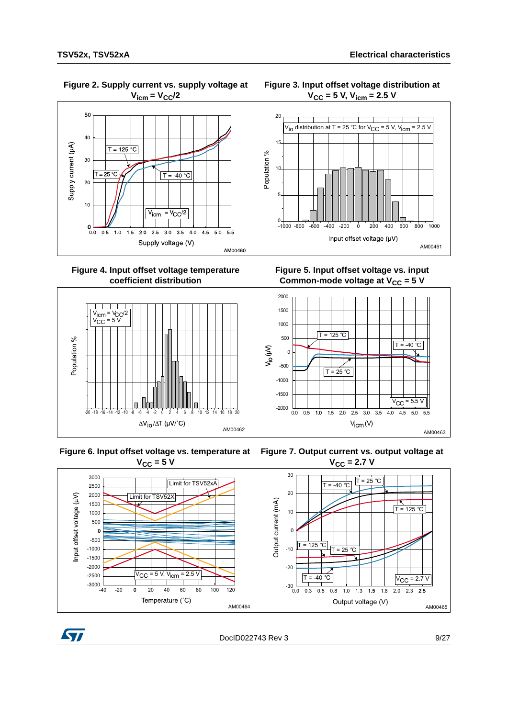

 **Figure 4. Input offset voltage temperature coefficient distribution**



**Figure 6. Input offset voltage vs. temperature at**   $V_{CC}$  = 5 V





**Figure 5. Input offset voltage vs. input**  Common-mode voltage at V<sub>CC</sub> = 5 V



**Figure 7. Output current vs. output voltage at**   $V_{CC} = 2.7 V$ 





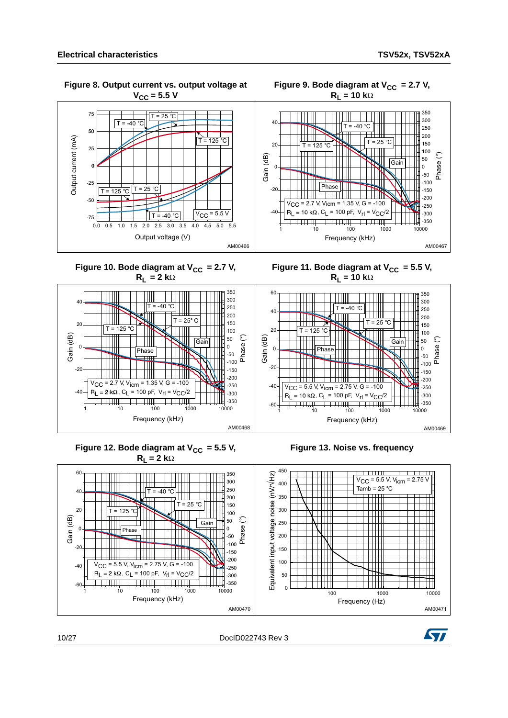350

 **Figure 8. Output current vs. output voltage at**   $V_{CC}$  = 5.5 V 75  $T = 25 °C$  $T = -40$  $50$ Output current (mA) Output current (mA)  $T = 125 °C$ 25  $\mathbf{o}$  $-25$  $T = 125 °C$   $T = 25 °C$  $-50$  $\boxed{T = -40^{\circ}C}$   $\boxed{V_{CC} = 5.5 \text{ V}}$  $-75$  $0.0$   $0.\overline{5}$   $1.0$   $1.5$   $2.0$   $2.5$   $3.0$   $3.5$   $4.0$   $4.5$   $5.0$   $5.5$ Output voltage (V) AM00466

Figure 9. Bode diagram at V<sub>CC</sub> = 2.7 V,  $R_L = 10 k\Omega$ 



Figure 11. Bode diagram at  $V_{CC} = 5.5 V$ ,

Figure 10. Bode diagram at  $V_{CC} = 2.7 V$ , **RL = 2 k**Ω









10/27 DocID022743 Rev 3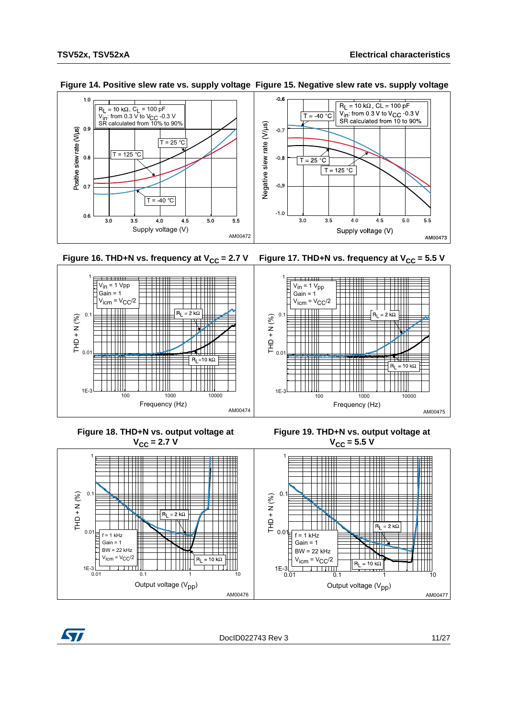

#### **Figure 14. Positive slew rate vs. supply voltage Figure 15. Negative slew rate vs. supply voltage**







╫╫

 $= 2 k\Omega$ 

╈╈╈

 $\mathcal{L}$ 

التنبيط

 $0.01$  0.1 1 10

Output voltage  $(V_{\text{pp}})$ 







 $(1E-3)$ <br>0.01

 $0.01$ 

 $\sharp$  f = 1 kHz  $Gain = 1$  $BW = 22 kHz$  $V<sub>icm</sub> = V<sub>CC</sub>/2$ 

 $0.$ 

THD + QHL

 $THD + N (%)$ 

1

DocID022743 Rev 3 11/27

AM00476

 $R_L = 10 k\Omega$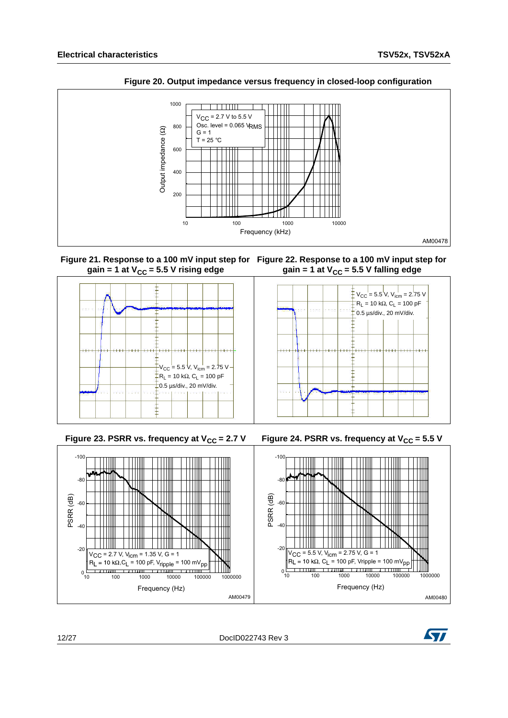

**Figure 20. Output impedance versus frequency in closed-loop configuration**









12/27 DocID022743 Rev 3

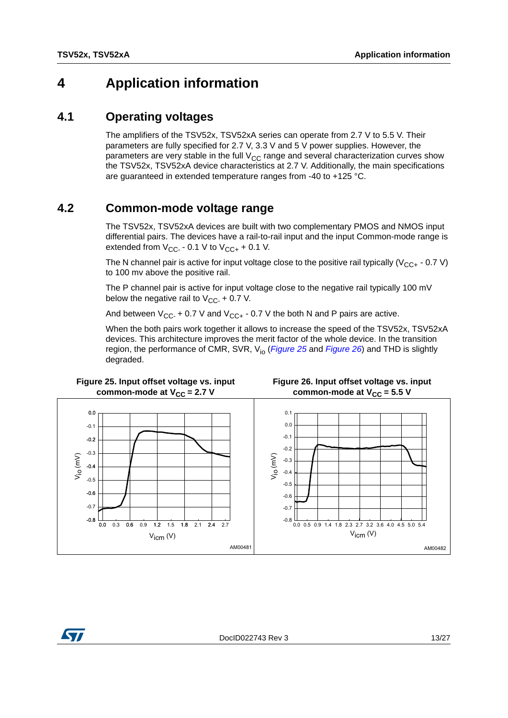## <span id="page-12-0"></span>**4 Application information**

### <span id="page-12-1"></span>**4.1 Operating voltages**

The amplifiers of the TSV52x, TSV52xA series can operate from 2.7 V to 5.5 V. Their parameters are fully specified for 2.7 V, 3.3 V and 5 V power supplies. However, the parameters are very stable in the full  $V_{CC}$  range and several characterization curves show the TSV52x, TSV52xA device characteristics at 2.7 V. Additionally, the main specifications are guaranteed in extended temperature ranges from -40 to +125 °C.

## <span id="page-12-2"></span>**4.2 Common-mode voltage range**

The TSV52x, TSV52xA devices are built with two complementary PMOS and NMOS input differential pairs. The devices have a rail-to-rail input and the input Common-mode range is extended from  $V_{CC}$  - 0.1 V to  $V_{CC+}$  + 0.1 V.

The N channel pair is active for input voltage close to the positive rail typically ( $V_{CC+}$  - 0.7 V) to 100 mv above the positive rail.

The P channel pair is active for input voltage close to the negative rail typically 100 mV below the negative rail to  $V_{CC}$  + 0.7 V.

And between  $V_{CC}$  + 0.7 V and  $V_{CC+}$  - 0.7 V the both N and P pairs are active.

When the both pairs work together it allows to increase the speed of the TSV52x, TSV52xA devices. This architecture improves the merit factor of the whole device. In the transition region, the performance of CMR, SVR, V<sub>io</sub> (*[Figure](#page-12-4)* 25 and *Figure* 26) and THD is slightly degraded.

<span id="page-12-3"></span>

<span id="page-12-4"></span>



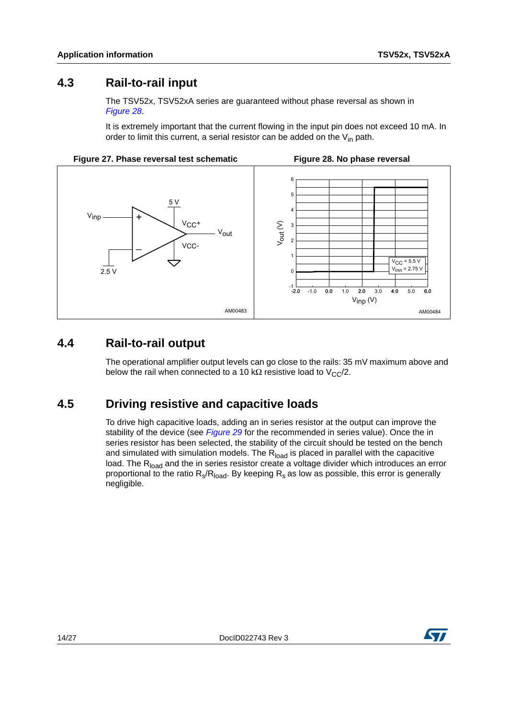### <span id="page-13-0"></span>**4.3 Rail-to-rail input**

The TSV52x, TSV52xA series are guaranteed without phase reversal as shown in *[Figure](#page-13-3) 28*.

<span id="page-13-3"></span>It is extremely important that the current flowing in the input pin does not exceed 10 mA. In order to limit this current, a serial resistor can be added on the  $V_{in}$  path.



## <span id="page-13-1"></span>**4.4 Rail-to-rail output**

The operational amplifier output levels can go close to the rails: 35 mV maximum above and below the rail when connected to a 10 kΩ resistive load to  $V_{C}C/2$ .

### <span id="page-13-2"></span>**4.5 Driving resistive and capacitive loads**

To drive high capacitive loads, adding an in series resistor at the output can improve the stability of the device (see *[Figure](#page-14-1) 29* for the recommended in series value). Once the in series resistor has been selected, the stability of the circuit should be tested on the bench and simulated with simulation models. The  $R<sub>load</sub>$  is placed in parallel with the capacitive load. The R<sub>load</sub> and the in series resistor create a voltage divider which introduces an error proportional to the ratio  $R_s/R_{load}$ . By keeping  $R_s$  as low as possible, this error is generally negligible.

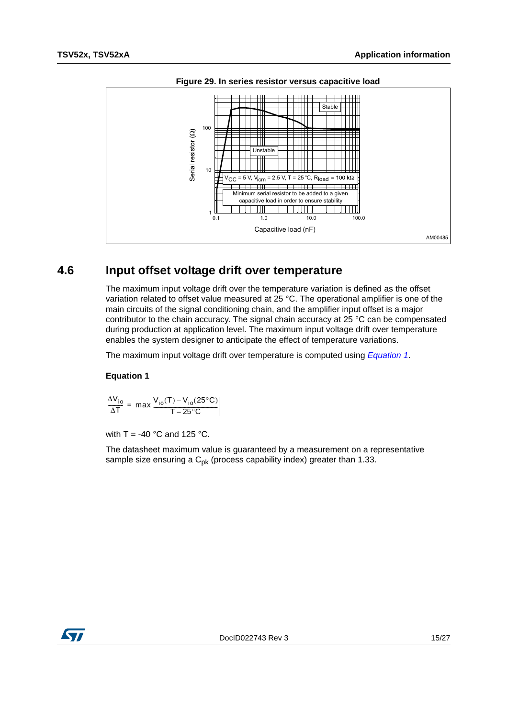<span id="page-14-1"></span>

**Figure 29. In series resistor versus capacitive load**

### <span id="page-14-0"></span>**4.6 Input offset voltage drift over temperature**

The maximum input voltage drift over the temperature variation is defined as the offset variation related to offset value measured at 25 °C. The operational amplifier is one of the main circuits of the signal conditioning chain, and the amplifier input offset is a major contributor to the chain accuracy. The signal chain accuracy at 25 °C can be compensated during production at application level. The maximum input voltage drift over temperature enables the system designer to anticipate the effect of temperature variations.

The maximum input voltage drift over temperature is computed using *[Equation 1](#page-14-2)*.

#### <span id="page-14-2"></span>**Equation 1**

$$
\frac{\Delta V_{io}}{\Delta T} = max \bigg| \frac{V_{io}(T) - V_{io}(25^{\circ}C)}{T - 25^{\circ}C} \bigg|
$$

with T = -40  $^{\circ}$ C and 125  $^{\circ}$ C.

The datasheet maximum value is guaranteed by a measurement on a representative sample size ensuring a  $C_{pk}$  (process capability index) greater than 1.33.

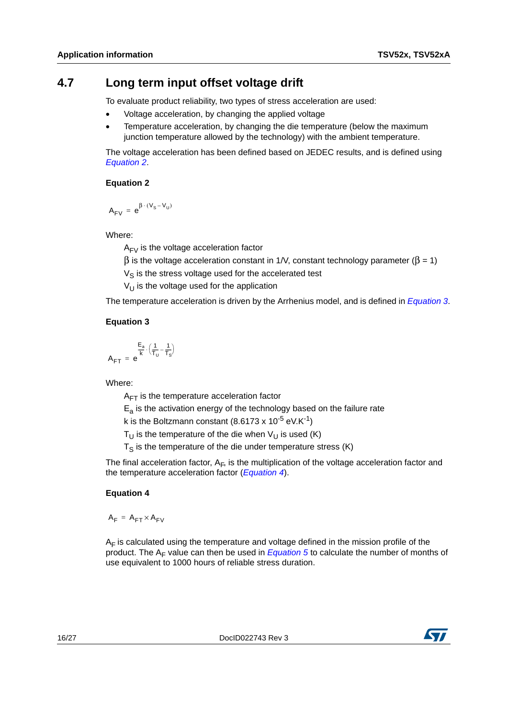### <span id="page-15-0"></span>**4.7 Long term input offset voltage drift**

To evaluate product reliability, two types of stress acceleration are used:

- Voltage acceleration, by changing the applied voltage
- Temperature acceleration, by changing the die temperature (below the maximum junction temperature allowed by the technology) with the ambient temperature.

The voltage acceleration has been defined based on JEDEC results, and is defined using *[Equation 2](#page-15-1)*.

#### <span id="page-15-1"></span>**Equation 2**

$$
A_{FV} \ = \ e^{\beta \, \cdot \, (V_S - V_U)}
$$

Where:

 $A_{FV}$  is the voltage acceleration factor

β is the voltage acceleration constant in 1/V, constant technology parameter ( $β = 1$ )

 $V_S$  is the stress voltage used for the accelerated test

 $V_{11}$  is the voltage used for the application

The temperature acceleration is driven by the Arrhenius model, and is defined in *[Equation 3](#page-15-2)*.

#### <span id="page-15-2"></span>**Equation 3**

$$
A_{FT}\ =\ e^{\displaystyle\frac{E_a}{k}\cdot\left(\frac{1}{T_U}-\frac{1}{T_S}\right)}
$$

Where:

 $A_{FT}$  is the temperature acceleration factor

 $E<sub>a</sub>$  is the activation energy of the technology based on the failure rate

k is the Boltzmann constant (8.6173 x  $10^{-5}$  eV.K<sup>-1</sup>)

 $T_{U}$  is the temperature of the die when  $V_{U}$  is used (K)

 $T<sub>S</sub>$  is the temperature of the die under temperature stress (K)

The final acceleration factor,  $A_F$ , is the multiplication of the voltage acceleration factor and the temperature acceleration factor (*[Equation 4](#page-15-3)*).

#### <span id="page-15-3"></span>**Equation 4**

 $A_F = A_{FT} \times A_{FN}$ 

 $A_F$  is calculated using the temperature and voltage defined in the mission profile of the product. The A<sub>F</sub> value can then be used in *Equation* 5 to calculate the number of months of use equivalent to 1000 hours of reliable stress duration.

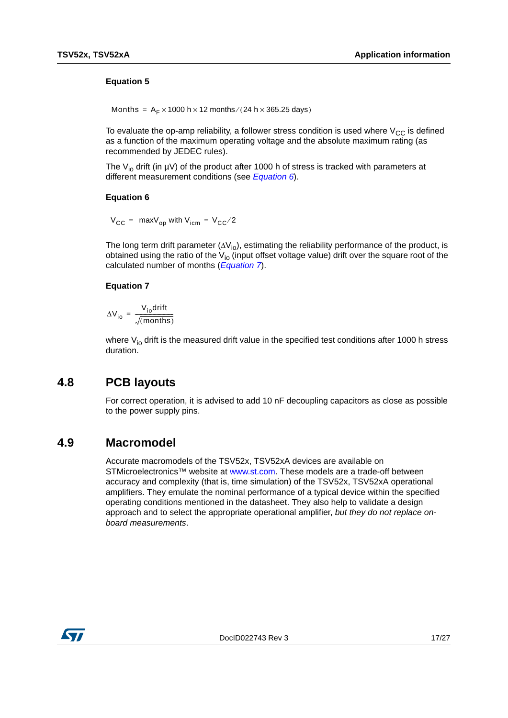#### <span id="page-16-2"></span>**Equation 5**

Months =  $A_F \times 1000$  h  $\times$  12 months/(24 h  $\times$  365.25 days)

To evaluate the op-amp reliability, a follower stress condition is used where  $V_{CC}$  is defined as a function of the maximum operating voltage and the absolute maximum rating (as recommended by JEDEC rules).

The V<sub>io</sub> drift (in  $\mu$ V) of the product after 1000 h of stress is tracked with parameters at different measurement conditions (see *[Equation 6](#page-16-3)*).

#### <span id="page-16-3"></span>**Equation 6**

 $V_{CC}$  = max $V_{on}$  with  $V_{icm}$  =  $V_{CC}/2$ 

The long term drift parameter  $(\Delta V_{io})$ , estimating the reliability performance of the product, is obtained using the ratio of the  $V_{io}$  (input offset voltage value) drift over the square root of the calculated number of months (*[Equation 7](#page-16-4)*).

#### <span id="page-16-4"></span>**Equation 7**

$$
\Delta V_{io} = \frac{V_{io}drift}{\sqrt{(months)}}
$$

where  $V_{io}$  drift is the measured drift value in the specified test conditions after 1000 h stress duration.

### <span id="page-16-0"></span>**4.8 PCB layouts**

For correct operation, it is advised to add 10 nF decoupling capacitors as close as possible to the power supply pins.

#### <span id="page-16-1"></span>**4.9 Macromodel**

Accurate macromodels of the TSV52x, TSV52xA devices are available on STMicroelectronics™ website at [www.st.com.](http://www.st.com) These models are a trade-off between accuracy and complexity (that is, time simulation) of the TSV52x, TSV52xA operational amplifiers. They emulate the nominal performance of a typical device within the specified operating conditions mentioned in the datasheet. They also help to validate a design approach and to select the appropriate operational amplifier, *but they do not replace onboard measurements*.

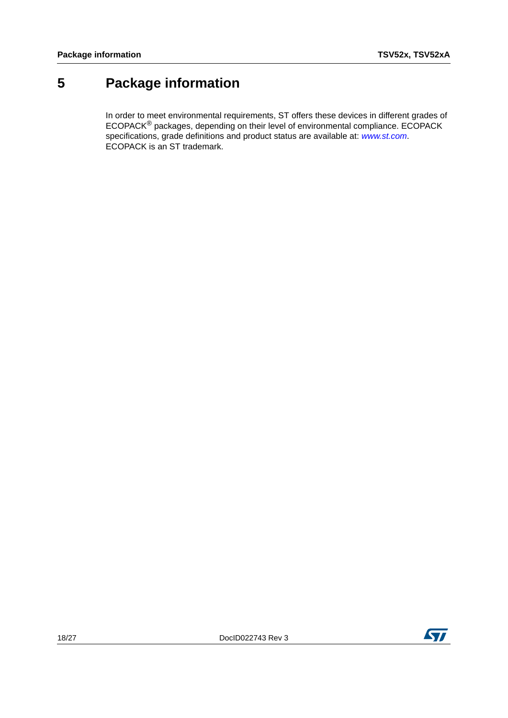# <span id="page-17-0"></span>**5 Package information**

In order to meet environmental requirements, ST offers these devices in different grades of ECOPACK® packages, depending on their level of environmental compliance. ECOPACK specifications, grade definitions and product status are available at: *[www.st.com](http://www.st.com)*. ECOPACK is an ST trademark.

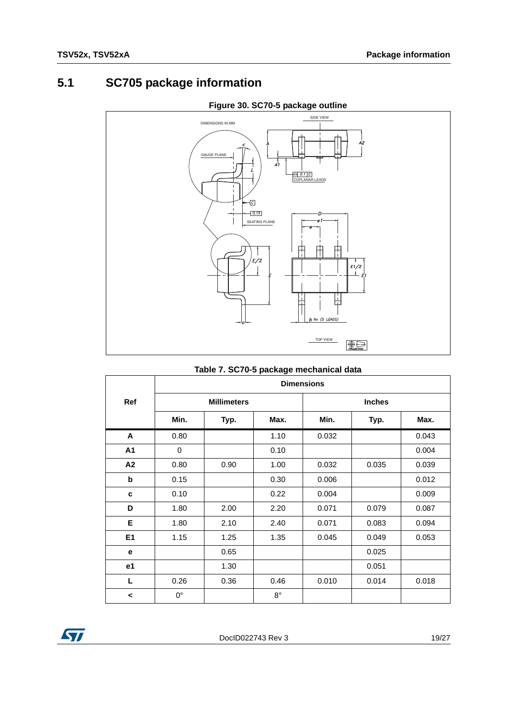## <span id="page-18-0"></span>**5.1 SC705 package information**



#### **Figure 30. SC70-5 package outline**

#### **Table 7. SC70-5 package mechanical data**

|                | <b>Dimensions</b> |                    |             |       |               |       |  |
|----------------|-------------------|--------------------|-------------|-------|---------------|-------|--|
| <b>Ref</b>     |                   | <b>Millimeters</b> |             |       | <b>Inches</b> |       |  |
|                | Min.              | Typ.               | Max.        | Min.  | Typ.          | Max.  |  |
| A              | 0.80              |                    | 1.10        | 0.032 |               | 0.043 |  |
| A1             | 0                 |                    | 0.10        |       |               | 0.004 |  |
| A <sub>2</sub> | 0.80              | 0.90               | 1.00        | 0.032 | 0.035         | 0.039 |  |
| $\mathbf b$    | 0.15              |                    | 0.30        | 0.006 |               | 0.012 |  |
| C              | 0.10              |                    | 0.22        | 0.004 |               | 0.009 |  |
| D              | 1.80              | 2.00               | 2.20        | 0.071 | 0.079         | 0.087 |  |
| Е              | 1.80              | 2.10               | 2.40        | 0.071 | 0.083         | 0.094 |  |
| E1             | 1.15              | 1.25               | 1.35        | 0.045 | 0.049         | 0.053 |  |
| е              |                   | 0.65               |             |       | 0.025         |       |  |
| e1             |                   | 1.30               |             |       | 0.051         |       |  |
| L              | 0.26              | 0.36               | 0.46        | 0.010 | 0.014         | 0.018 |  |
| ≺              | $0^{\circ}$       |                    | $8^{\circ}$ |       |               |       |  |

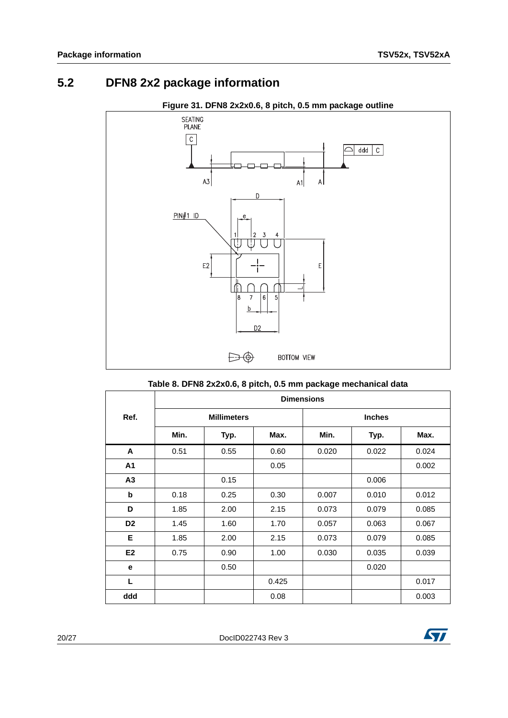## <span id="page-19-0"></span>**5.2 DFN8 2x2 package information**



**Figure 31. DFN8 2x2x0.6, 8 pitch, 0.5 mm package outline**

#### **Table 8. DFN8 2x2x0.6, 8 pitch, 0.5 mm package mechanical data**

<span id="page-19-1"></span>

|                | <b>Dimensions</b> |                    |       |       |               |       |  |
|----------------|-------------------|--------------------|-------|-------|---------------|-------|--|
| Ref.           |                   | <b>Millimeters</b> |       |       | <b>Inches</b> |       |  |
|                | Min.              | Typ.               | Max.  | Min.  | Typ.          | Max.  |  |
| A              | 0.51              | 0.55               | 0.60  | 0.020 | 0.022         | 0.024 |  |
| A <sub>1</sub> |                   |                    | 0.05  |       |               | 0.002 |  |
| A <sub>3</sub> |                   | 0.15               |       |       | 0.006         |       |  |
| b              | 0.18              | 0.25               | 0.30  | 0.007 | 0.010         | 0.012 |  |
| D              | 1.85              | 2.00               | 2.15  | 0.073 | 0.079         | 0.085 |  |
| D <sub>2</sub> | 1.45              | 1.60               | 1.70  | 0.057 | 0.063         | 0.067 |  |
| Е              | 1.85              | 2.00               | 2.15  | 0.073 | 0.079         | 0.085 |  |
| E <sub>2</sub> | 0.75              | 0.90               | 1.00  | 0.030 | 0.035         | 0.039 |  |
| e              |                   | 0.50               |       |       | 0.020         |       |  |
| $\mathsf{L}$   |                   |                    | 0.425 |       |               | 0.017 |  |
| ddd            |                   |                    | 0.08  |       |               | 0.003 |  |

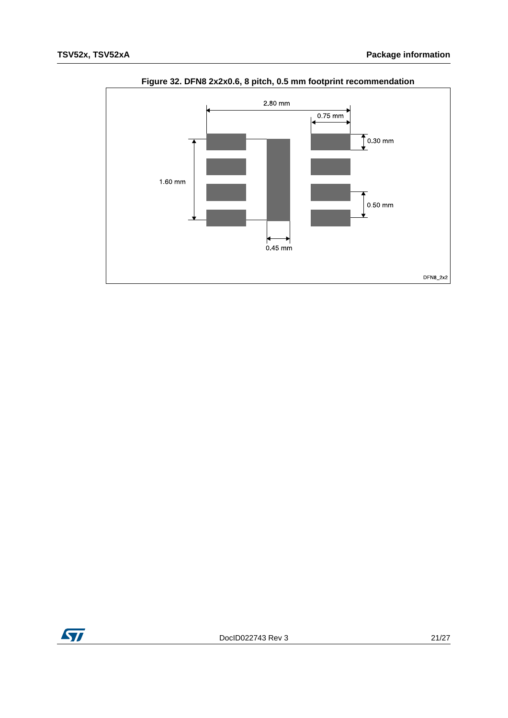

### **Figure 32. DFN8 2x2x0.6, 8 pitch, 0.5 mm footprint recommendation**

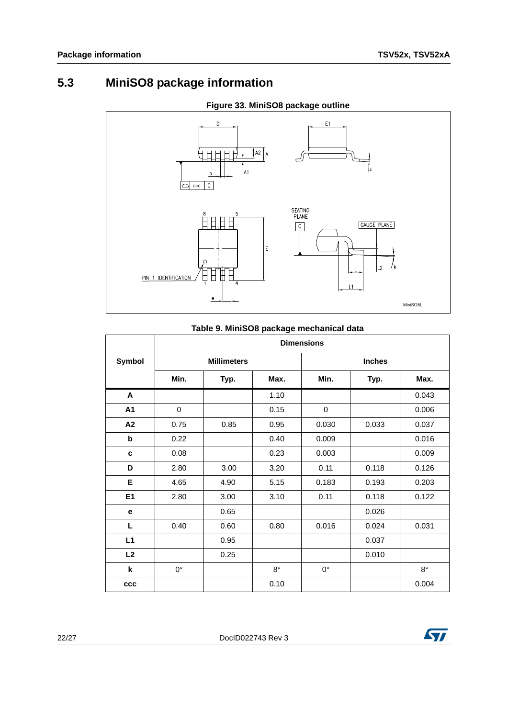## <span id="page-21-0"></span>**5.3 MiniSO8 package information**



#### **Figure 33. MiniSO8 package outline**

#### **Table 9. MiniSO8 package mechanical data**

|                | <b>Dimensions</b> |                    |             |             |               |             |  |  |
|----------------|-------------------|--------------------|-------------|-------------|---------------|-------------|--|--|
| Symbol         |                   | <b>Millimeters</b> |             |             | <b>Inches</b> |             |  |  |
|                | Min.              | Typ.               | Max.        | Min.        | Typ.          | Max.        |  |  |
| A              |                   |                    | 1.10        |             |               | 0.043       |  |  |
| A1             | 0                 |                    | 0.15        | 0           |               | 0.006       |  |  |
| A2             | 0.75              | 0.85               | 0.95        | 0.030       | 0.033         | 0.037       |  |  |
| b              | 0.22              |                    | 0.40        | 0.009       |               | 0.016       |  |  |
| c              | 0.08              |                    | 0.23        | 0.003       |               | 0.009       |  |  |
| D              | 2.80              | 3.00               | 3.20        | 0.11        | 0.118         | 0.126       |  |  |
| Е              | 4.65              | 4.90               | 5.15        | 0.183       | 0.193         | 0.203       |  |  |
| E <sub>1</sub> | 2.80              | 3.00               | 3.10        | 0.11        | 0.118         | 0.122       |  |  |
| e              |                   | 0.65               |             |             | 0.026         |             |  |  |
| L              | 0.40              | 0.60               | 0.80        | 0.016       | 0.024         | 0.031       |  |  |
| L1             |                   | 0.95               |             |             | 0.037         |             |  |  |
| L2             |                   | 0.25               |             |             | 0.010         |             |  |  |
| k              | 0°                |                    | $8^{\circ}$ | $0^{\circ}$ |               | $8^{\circ}$ |  |  |
| <b>CCC</b>     |                   |                    | 0.10        |             |               | 0.004       |  |  |

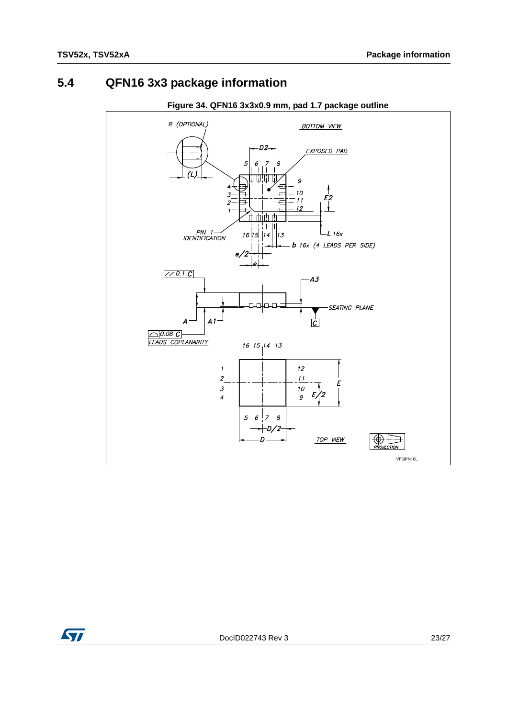## <span id="page-22-0"></span>**5.4 QFN16 3x3 package information**



#### **Figure 34. QFN16 3x3x0.9 mm, pad 1.7 package outline**

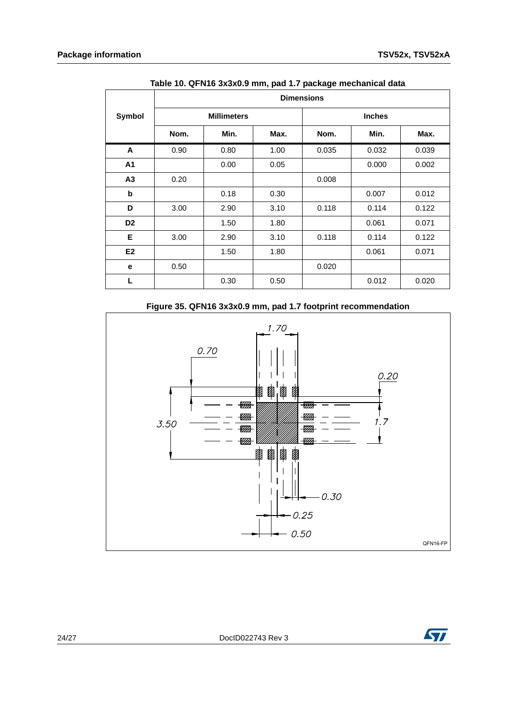|                | , paa  pasags<br><b>Dimensions</b> |                    |      |       |               |       |  |
|----------------|------------------------------------|--------------------|------|-------|---------------|-------|--|
| <b>Symbol</b>  |                                    | <b>Millimeters</b> |      |       | <b>Inches</b> |       |  |
|                | Nom.                               | Min.               | Max. | Nom.  | Min.          | Max.  |  |
| A              | 0.90                               | 0.80               | 1.00 | 0.035 | 0.032         | 0.039 |  |
| A1             |                                    | 0.00               | 0.05 |       | 0.000         | 0.002 |  |
| A3             | 0.20                               |                    |      | 0.008 |               |       |  |
| b              |                                    | 0.18               | 0.30 |       | 0.007         | 0.012 |  |
| D              | 3.00                               | 2.90               | 3.10 | 0.118 | 0.114         | 0.122 |  |
| D <sub>2</sub> |                                    | 1.50               | 1.80 |       | 0.061         | 0.071 |  |
| Е              | 3.00                               | 2.90               | 3.10 | 0.118 | 0.114         | 0.122 |  |
| E2             |                                    | 1.50               | 1.80 |       | 0.061         | 0.071 |  |
| е              | 0.50                               |                    |      | 0.020 |               |       |  |
| L              |                                    | 0.30               | 0.50 |       | 0.012         | 0.020 |  |

**Table 10. QFN16 3x3x0.9 mm, pad 1.7 package mechanical data**

#### **Figure 35. QFN16 3x3x0.9 mm, pad 1.7 footprint recommendation**



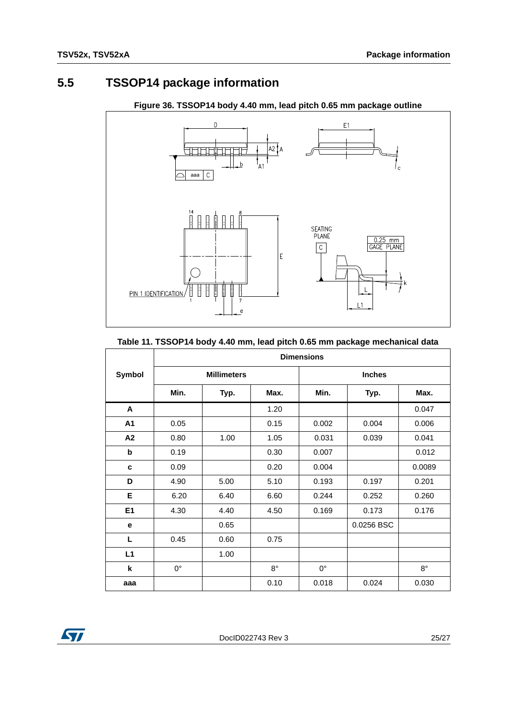## <span id="page-24-0"></span>**5.5 TSSOP14 package information**



#### **Figure 36. TSSOP14 body 4.40 mm, lead pitch 0.65 mm package outline**

#### **Table 11. TSSOP14 body 4.40 mm, lead pitch 0.65 mm package mechanical data**

|               | <b>Dimensions</b>  |      |             |               |            |             |  |
|---------------|--------------------|------|-------------|---------------|------------|-------------|--|
| <b>Symbol</b> | <b>Millimeters</b> |      |             | <b>Inches</b> |            |             |  |
|               | Min.               | Typ. | Max.        | Min.          | Typ.       | Max.        |  |
| A             |                    |      | 1.20        |               |            | 0.047       |  |
| A1            | 0.05               |      | 0.15        | 0.002         | 0.004      | 0.006       |  |
| A2            | 0.80               | 1.00 | 1.05        | 0.031         | 0.039      | 0.041       |  |
| b             | 0.19               |      | 0.30        | 0.007         |            | 0.012       |  |
| c             | 0.09               |      | 0.20        | 0.004         |            | 0.0089      |  |
| D             | 4.90               | 5.00 | 5.10        | 0.193         | 0.197      | 0.201       |  |
| Е             | 6.20               | 6.40 | 6.60        | 0.244         | 0.252      | 0.260       |  |
| E1            | 4.30               | 4.40 | 4.50        | 0.169         | 0.173      | 0.176       |  |
| e             |                    | 0.65 |             |               | 0.0256 BSC |             |  |
| L             | 0.45               | 0.60 | 0.75        |               |            |             |  |
| L1            |                    | 1.00 |             |               |            |             |  |
| k             | $0^{\circ}$        |      | $8^{\circ}$ | $0^{\circ}$   |            | $8^{\circ}$ |  |
| aaa           |                    |      | 0.10        | 0.018         | 0.024      | 0.030       |  |

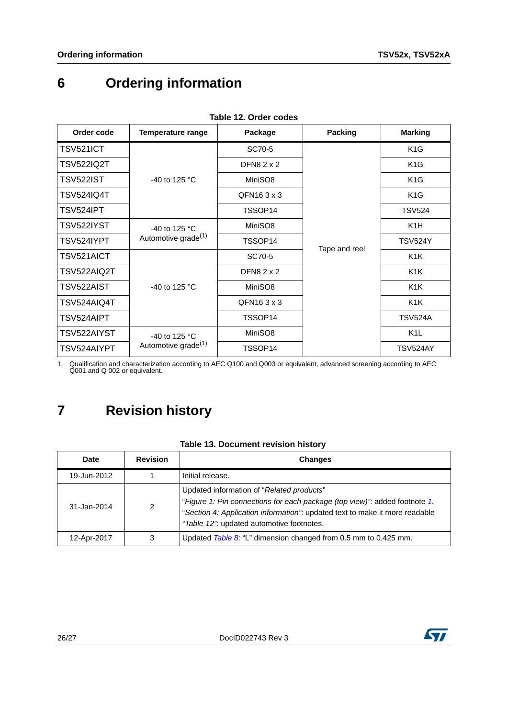# <span id="page-25-0"></span>**6 Ordering information**

| ianic iz. Uluci tuucs |                                                  |                   |               |                  |
|-----------------------|--------------------------------------------------|-------------------|---------------|------------------|
| Order code            | Temperature range                                | Package           | Packing       | <b>Marking</b>   |
| TSV521ICT             |                                                  | SC70-5            | Tape and reel | K <sub>1</sub> G |
| <b>TSV522IQ2T</b>     |                                                  | <b>DFN82x2</b>    |               | K <sub>1</sub> G |
| TSV522IST             | -40 to 125 $^{\circ}$ C                          | MiniSO8           |               | K <sub>1</sub> G |
| <b>TSV524IQ4T</b>     |                                                  | QFN163x3          |               | K <sub>1</sub> G |
| TSV524IPT             |                                                  | TSSOP14           |               | <b>TSV524</b>    |
| TSV522IYST            | -40 to 125 °C<br>Automotive grade <sup>(1)</sup> | MiniSO8           |               | K <sub>1</sub> H |
| TSV524IYPT            |                                                  | TSSOP14           |               | <b>TSV524Y</b>   |
| TSV521AICT            |                                                  | SC70-5            |               | K <sub>1</sub> K |
| TSV522AIQ2T           |                                                  | DFN8 $2 \times 2$ |               | K <sub>1</sub> K |
| TSV522AIST            | -40 to 125 $^{\circ}$ C                          | MiniSO8           |               | K <sub>1</sub> K |
| TSV524AIQ4T           |                                                  | QFN163x3          |               | K <sub>1</sub> K |
| TSV524AIPT            |                                                  | TSSOP14           |               | <b>TSV524A</b>   |
| TSV522AIYST           | -40 to 125 °C                                    | MiniSO8           |               | K <sub>1</sub> L |
| TSV524AIYPT           | Automotive grade <sup>(1)</sup>                  | TSSOP14           |               | <b>TSV524AY</b>  |

**Table 12. Order codes**

<span id="page-25-2"></span>1. Qualification and characterization according to AEC Q100 and Q003 or equivalent, advanced screening according to AEC Q001 and Q 002 or equivalent.

# <span id="page-25-1"></span>**7 Revision history**

| Table 13. Document revision history |  |
|-------------------------------------|--|
|-------------------------------------|--|

| <b>Date</b>     | <b>Revision</b> | <b>Changes</b>                                                                                                                                                                                                                                     |
|-----------------|-----------------|----------------------------------------------------------------------------------------------------------------------------------------------------------------------------------------------------------------------------------------------------|
| 19-Jun-2012     |                 | Initial release.                                                                                                                                                                                                                                   |
| $31 - Jan-2014$ | $\mathcal{P}$   | Updated information of "Related products"<br>"Figure 1: Pin connections for each package (top view)" added footnote 1.<br>"Section 4: Application information": updated text to make it more readable<br>"Table 12": updated automotive footnotes. |
| 12-Apr-2017     | 3               | Updated Table 8: "L" dimension changed from 0.5 mm to 0.425 mm.                                                                                                                                                                                    |